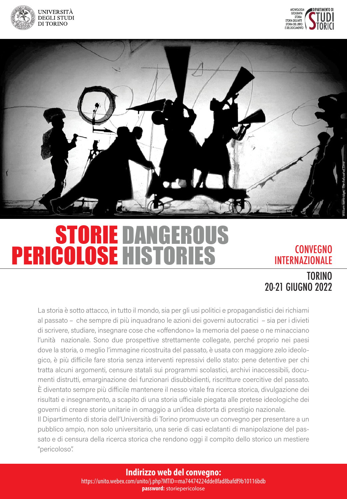





## DANGEROUS **HISTORIES** STORIE PERICOLOSE HISTORIES CONVEGNO

# INTERNAZIONALE

# TORINO 20-21 GIUGNO 2022

La storia è sotto attacco, in tutto il mondo, sia per gli usi politici e propagandistici dei richiami al passato – che sempre di più inquadrano le azioni dei governi autocratici – sia per i divieti di scrivere, studiare, insegnare cose che «offendono» la memoria del paese o ne minacciano l'unità nazionale. Sono due prospettive strettamente collegate, perché proprio nei paesi dove la storia, o meglio l'immagine ricostruita del passato, è usata con maggiore zelo ideologico, è più difficile fare storia senza interventi repressivi dello stato: pene detentive per chi tratta alcuni argomenti, censure statali sui programmi scolastici, archivi inaccessibili, documenti distrutti, emarginazione dei funzionari disubbidienti, riscritture coercitive del passato. É diventato sempre più difficile mantenere il nesso vitale fra ricerca storica, divulgazione dei risultati e insegnamento, a scapito di una storia ufficiale piegata alle pretese ideologiche dei governi di creare storie unitarie in omaggio a un'idea distorta di prestigio nazionale.

Il Dipartimento di storia dell'Università di Torino promuove un convegno per presentare a un pubblico ampio, non solo universitario, una serie di casi eclatanti di manipolazione del passato e di censura della ricerca storica che rendono oggi il compito dello storico un mestiere "pericoloso".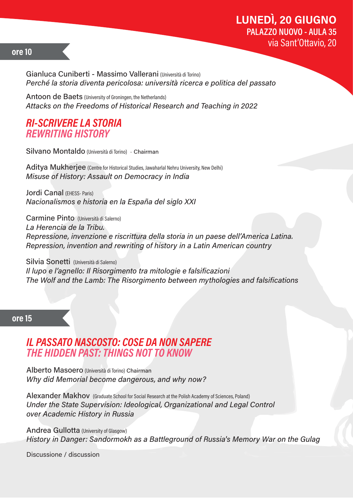## **LUNEDI, 20 GIUGNO** PALAZZO NUOVO - AULA 35 via Sant'Ottavio, 20

### ore 10

Gianluca Cuniberti - Massimo Vallerani (Università di Torino) Perché la storia diventa pericolosa: università ricerca e politica del passato

Antoon de Baets (University of Groningen, the Netherlands) Attacks on the Freedoms of Historical Research and Teaching in 2022

## **RI-SCRIVERE LA STORIA REWRITING HISTORY**

Silvano Montaldo (Università di Torino) - Chairman

Aditya Mukherjee (Centre for Historical Studies, Jawaharlal Nehru University, New Delhi) Misuse of History: Assault on Democracy in India

Jordi Canal (FHFSS- Paris) Nacionalismos e historia en la España del siglo XXI

Carmine Pinto (Università di Salerno) La Herencia de la Tribu. Repressione, invenzione e riscrittura della storia in un paese dell'America Latina. Repression, invention and rewriting of history in a Latin American country

Silvia Sonetti (Università di Salerno) Il lupo e l'agnello: Il Risorgimento tra mitologie e falsificazioni The Wolf and the Lamb: The Risorgimento between mythologies and falsifications

#### ore<sub>15</sub>

## **IL PASSATO NASCOSTO: COSE DA NON SAPERE** THE HIDDEN PAST: THINGS NOT TO KNOW

Alberto Masoero (Università di Torino) Chairman Why did Memorial become dangerous, and why now?

Alexander Makhov (Graduate School for Social Research at the Polish Academy of Sciences, Poland) Under the State Supervision: Ideological, Organizational and Legal Control over Academic History in Russia

**Andrea Gullotta** (University of Glasgow) History in Danger: Sandormokh as a Battleground of Russia's Memory War on the Gulag

Discussione / discussion